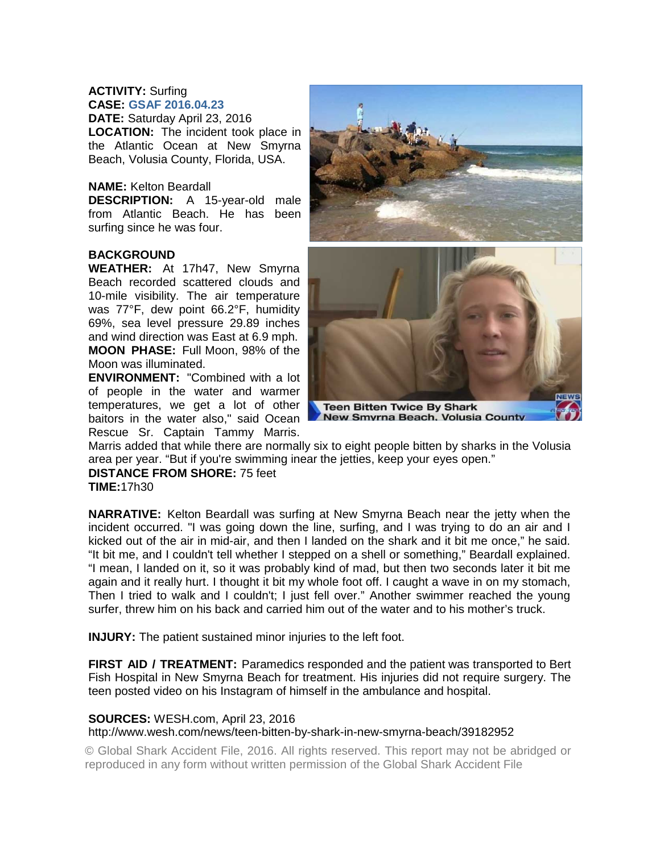# **ACTIVITY:** Surfing **CASE: GSAF 2016.04.23**

**DATE:** Saturday April 23, 2016 **LOCATION:** The incident took place in the Atlantic Ocean at New Smyrna Beach, Volusia County, Florida, USA.

## **NAME:** Kelton Beardall

**DESCRIPTION:** A 15-year-old male from Atlantic Beach. He has been surfing since he was four.

## **BACKGROUND**

**WEATHER:** At 17h47, New Smyrna Beach recorded scattered clouds and 10-mile visibility. The air temperature was 77°F, dew point 66.2°F, humidity 69%, sea level pressure 29.89 inches and wind direction was East at 6.9 mph. **MOON PHASE:** Full Moon, 98% of the Moon was illuminated.

**ENVIRONMENT:** "Combined with a lot of people in the water and warmer temperatures, we get a lot of other baitors in the water also," said Ocean Rescue Sr. Captain Tammy Marris.



Marris added that while there are normally six to eight people bitten by sharks in the Volusia area per year. "But if you're swimming inear the jetties, keep your eyes open."

**DISTANCE FROM SHORE:** 75 feet

**TIME:**17h30

**NARRATIVE:** Kelton Beardall was surfing at New Smyrna Beach near the jetty when the incident occurred. "I was going down the line, surfing, and I was trying to do an air and I kicked out of the air in mid-air, and then I landed on the shark and it bit me once," he said. "It bit me, and I couldn't tell whether I stepped on a shell or something," Beardall explained. "I mean, I landed on it, so it was probably kind of mad, but then two seconds later it bit me again and it really hurt. I thought it bit my whole foot off. I caught a wave in on my stomach, Then I tried to walk and I couldn't; I just fell over." Another swimmer reached the young surfer, threw him on his back and carried him out of the water and to his mother's truck.

**INJURY:** The patient sustained minor injuries to the left foot.

**FIRST AID / TREATMENT:** Paramedics responded and the patient was transported to Bert Fish Hospital in New Smyrna Beach for treatment. His injuries did not require surgery. The teen posted video on his Instagram of himself in the ambulance and hospital.

### **SOURCES:** WESH.com, April 23, 2016

### http://www.wesh.com/news/teen-bitten-by-shark-in-new-smyrna-beach/39182952

© Global Shark Accident File, 2016. All rights reserved. This report may not be abridged or reproduced in any form without written permission of the Global Shark Accident File